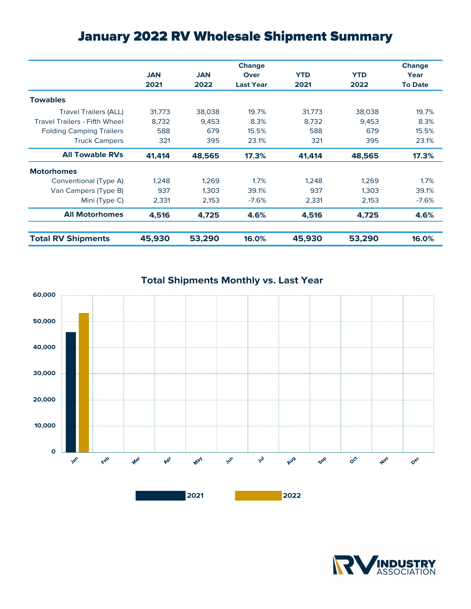## January 2022 RV Wholesale Shipment Summary

|                                      |            |            | <b>Change</b>    |            |            | <b>Change</b>  |
|--------------------------------------|------------|------------|------------------|------------|------------|----------------|
|                                      | <b>JAN</b> | <b>JAN</b> | Over             | <b>YTD</b> | <b>YTD</b> | Year           |
|                                      | 2021       | 2022       | <b>Last Year</b> | 2021       | 2022       | <b>To Date</b> |
| <b>Towables</b>                      |            |            |                  |            |            |                |
| <b>Travel Trailers (ALL)</b>         | 31,773     | 38,038     | 19.7%            | 31,773     | 38,038     | 19.7%          |
| <b>Travel Trailers - Fifth Wheel</b> | 8,732      | 9,453      | 8.3%             | 8,732      | 9,453      | 8.3%           |
| <b>Folding Camping Trailers</b>      | 588        | 679        | 15.5%            | 588        | 679        | 15.5%          |
| <b>Truck Campers</b>                 | 321        | 395        | 23.1%            | 321        | 395        | 23.1%          |
| <b>All Towable RVs</b>               | 41,414     | 48,565     | 17.3%            | 41,414     | 48,565     | 17.3%          |
| <b>Motorhomes</b>                    |            |            |                  |            |            |                |
| Conventional (Type A)                | 1.248      | 1,269      | 1.7%             | 1.248      | 1.269      | 1.7%           |
| Van Campers (Type B)                 | 937        | 1.303      | 39.1%            | 937        | 1.303      | 39.1%          |
| Mini (Type C)                        | 2,331      | 2,153      | $-7.6%$          | 2,331      | 2,153      | $-7.6%$        |
| <b>All Motorhomes</b>                | 4,516      | 4,725      | 4.6%             | 4,516      | 4,725      | 4.6%           |
| <b>Total RV Shipments</b>            | 45,930     | 53,290     | 16.0%            | 45,930     | 53,290     | 16.0%          |

**Total Shipments Monthly vs. Last Year**



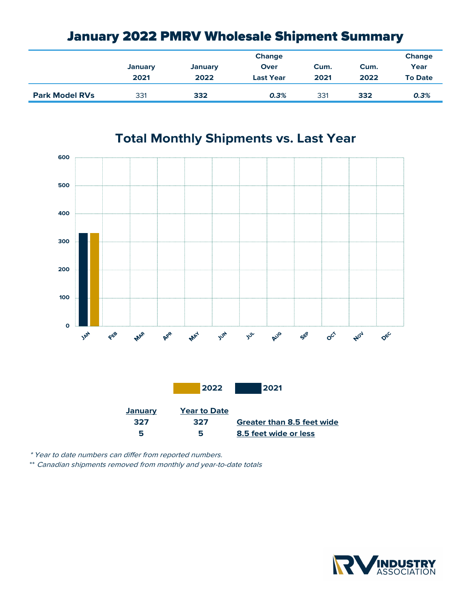## January 2022 PMRV Wholesale Shipment Summary

|                       |                | <b>Change</b>  |                  |      |      |                |
|-----------------------|----------------|----------------|------------------|------|------|----------------|
|                       | <b>January</b> | <b>January</b> | Over             | Cum. | Cum. | Year           |
|                       | 2021           | 2022           | <b>Last Year</b> | 2021 | 2022 | <b>To Date</b> |
| <b>Park Model RVs</b> | 331            | 332            | 0.3%             | 331  | 332  | 0.3%           |



**Total Monthly Shipments vs. Last Year**

\* Year to date numbers can differ from reported numbers.

\*\* Canadian shipments removed from monthly and year-to-date totals